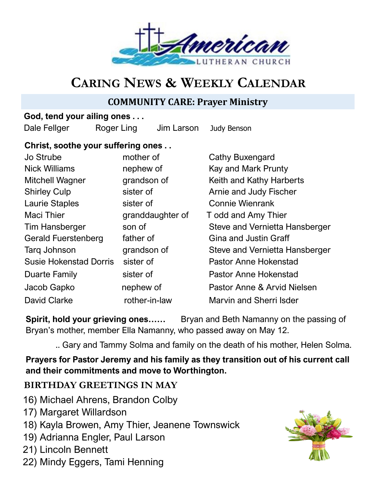

# **CARING NEWS & WEEKLY CALENDAR**

# **COMMUNITY CARE: Prayer Ministry**

## **God, tend your ailing ones . . .**

Dale Fellger Roger Ling Jim Larson Judy Benson

# **Christ, soothe your suffering ones . .**

| Jo Strube                     | mother of        | Cathy Buxengard                |
|-------------------------------|------------------|--------------------------------|
| <b>Nick Williams</b>          | nephew of        | Kay and Mark Prunty            |
| <b>Mitchell Wagner</b>        | grandson of      | Keith and Kathy Harberts       |
| <b>Shirley Culp</b>           | sister of        | Arnie and Judy Fischer         |
| <b>Laurie Staples</b>         | sister of        | <b>Connie Wienrank</b>         |
| <b>Maci Thier</b>             | granddaughter of | T odd and Amy Thier            |
| <b>Tim Hansberger</b>         | son of           | Steve and Vernietta Hansberger |
| <b>Gerald Fuerstenberg</b>    | father of        | <b>Gina and Justin Graff</b>   |
| Tarq Johnson                  | grandson of      | Steve and Vernietta Hansberger |
| <b>Susie Hokenstad Dorris</b> | sister of        | <b>Pastor Anne Hokenstad</b>   |
| Duarte Family                 | sister of        | <b>Pastor Anne Hokenstad</b>   |
| Jacob Gapko                   | nephew of        | Pastor Anne & Arvid Nielsen    |
| <b>David Clarke</b>           | rother-in-law    | <b>Marvin and Sherri Isder</b> |

**Spirit, hold your grieving ones……** Bryan and Beth Namanny on the passing of Bryan's mother, member Ella Namanny, who passed away on May 12.

.. Gary and Tammy Solma and family on the death of his mother, Helen Solma.

**Prayers for Pastor Jeremy and his family as they transition out of his current call and their commitments and move to Worthington.**

# **BIRTHDAY GREETINGS IN MAY**

- 16) Michael Ahrens, Brandon Colby
- 17) Margaret Willardson
- 18) Kayla Browen, Amy Thier, Jeanene Townswick
- 19) Adrianna Engler, Paul Larson
- 21) Lincoln Bennett
- 22) Mindy Eggers, Tami Henning